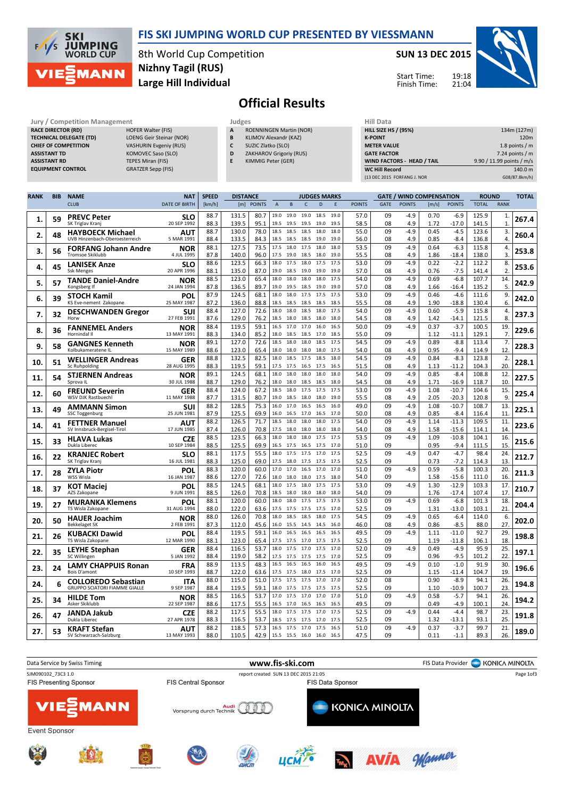



8th World Cup Competition Large Hill Individual Nizhny Tagil (RUS)

## SUN 13 DEC 2015



19:18 Start Time: Finish Time:

## Official Results

| <b>Jury / Competition Management</b> |                               | Judges | <b>Hill Data</b>               |                    |
|--------------------------------------|-------------------------------|--------|--------------------------------|--------------------|
| <b>RACE DIRECTOR (RD)</b>            | <b>HOFER Walter (FIS)</b>     | A      | <b>ROENNINGEN Martin (NOR)</b> | <b>HILL SIZE H</b> |
| <b>TECHNICAL DELEGATE (TD)</b>       | LOENG Geir Steinar (NOR)      | B      | KLIMOV Alexandr (KAZ)          | <b>K-POINT</b>     |
| <b>CHIEF OF COMPETITION</b>          | <b>VASHURIN Evgeniy (RUS)</b> |        | SUZIC Zlatko (SLO)             | <b>METER VAI</b>   |
| <b>ASSISTANT TD</b>                  | KOMOVEC Saso (SLO)            | D      | ZAKHAROV Grigoriy (RUS)        | <b>GATE FACT</b>   |
| <b>ASSISTANT RD</b>                  | TEPES Miran (FIS)             |        | KIMMIG Peter (GER)             | <b>WIND FACT</b>   |
| <b>EQUIPMENT CONTROL</b>             | <b>GRATZER Sepp (FIS)</b>     |        |                                | <b>WC Hill Red</b> |

| Judges |                                |
|--------|--------------------------------|
| A      | <b>ROENNINGEN Martin (NOR)</b> |

- B KLIMOV Alexandr (KAZ)
- C SUZIC Zlatko (SLO)
- D ZAKHAROV Grigoriy (RUS)
- E KIMMIG Peter (GER)

| нііі рата                         |                           |
|-----------------------------------|---------------------------|
| <b>HILL SIZE HS / (95%)</b>       | 134m (127m)               |
| <b>K-POINT</b>                    | 120 <sub>m</sub>          |
| <b>METER VALUE</b>                | 1.8 points $/m$           |
| <b>GATE FACTOR</b>                | 7.24 points $/m$          |
| <b>WIND FACTORS - HEAD / TAIL</b> | 9.90 / 11.99 points / m/s |
| <b>WC Hill Record</b>             | 140.0 m                   |
| (13 DEC 2015 FORFANG J. NOR       | G08/87.8km/h)             |

| <b>RANK</b> | <b>BIB</b> | <b>NAME</b>                                        | <b>NAT</b>                | <b>SPEED</b><br><b>DISTANCE</b><br><b>JUDGES MARKS</b><br><b>GATE / WIND COMPENSATION</b> |                |              |                |                        | <b>ROUND</b> |              | <b>TOTAL</b> |               |             |               |              |                    |                |                |       |
|-------------|------------|----------------------------------------------------|---------------------------|-------------------------------------------------------------------------------------------|----------------|--------------|----------------|------------------------|--------------|--------------|--------------|---------------|-------------|---------------|--------------|--------------------|----------------|----------------|-------|
|             |            | <b>CLUB</b>                                        | <b>DATE OF BIRTH</b>      | [km/h]                                                                                    |                | [m] POINTS   | $\overline{A}$ | $\,$ B                 | $\mathsf{C}$ | D            | E            | <b>POINTS</b> | <b>GATE</b> | <b>POINTS</b> | [m/s]        | <b>POINTS</b>      | <b>TOTAL</b>   | <b>RANK</b>    |       |
|             |            | <b>PREVC Peter</b>                                 | SLO                       | 88.7                                                                                      | 131.5          | 80.7         | 19.0           | 19.0                   | 19.0         | 18.5         | 19.0         | 57.0          | 09          | $-4.9$        | 0.70         | $-6.9$             | 125.9          | 1.             |       |
| 1.          | 59         | SK Triglav Kranj                                   | 20 SEP 1992               | 88.3                                                                                      | 139.5          | 95.1         | 19.5           | 19.5                   | 19.5         | 19.0         | 19.5         | 58.5          | 08          | 4.9           | 1.72         | $-17.0$            | 141.5          | $\mathbf{1}$   | 267.4 |
| 2.          | 48         | <b>HAYBOECK Michael</b>                            | AUT                       | 88.7                                                                                      | 130.0          | 78.0         | 18.5           | 18.5                   | 18.5         | 18.0         | 18.0         | 55.0          | 09          | $-4.9$        | 0.45         | $-4.5$             | 123.6          | 3.             | 260.4 |
|             |            | UVB Hinzenbach-Oberoesterreich                     | 5 MAR 1991                | 88.4                                                                                      | 133.5          | 84.3         | 18.5           | 18.5                   | 18.5         | 19.0         | 19.0         | 56.0          | 08          | 4.9           | 0.85         | $-8.4$             | 136.8          | 4.             |       |
| 3.          | 56         | <b>FORFANG Johann Andre</b><br>Tromsoe Skiklubb    | NOR<br>4 JUL 1995         | 88.1<br>87.8                                                                              | 127.5<br>140.0 | 73.5<br>96.0 | 17.5<br>17.5   | 18.0<br>19.0           | 17.5<br>18.5 | 18.0<br>18.0 | 18.0<br>19.0 | 53.5<br>55.5  | 09<br>08    | $-4.9$<br>4.9 | 0.64<br>1.86 | $-6.3$<br>$-18.4$  | 115.8<br>138.0 | 4.<br>3.       | 253.8 |
|             |            |                                                    | SLO                       | 88.6                                                                                      | 123.5          | 66.3         | 18.0           | 17.5                   | 18.0         | 17.5         | 17.5         | 53.0          | 09          | $-4.9$        | 0.22         | $-2.2$             | 112.2          | 8.             |       |
| 4.          | 45         | <b>LANISEK Anze</b><br><b>Ssk Menges</b>           | 20 APR 1996               | 88.1                                                                                      | 135.0          | 87.0         | 19.0           | 18.5                   | 19.0         | 19.0         | 19.0         | 57.0          | 08          | 4.9           | 0.76         | $-7.5$             | 141.4          | 2.             | 253.6 |
|             |            | <b>TANDE Daniel-Andre</b>                          | NOR                       | 88.5                                                                                      | 123.0          | 65.4         | 18.0           | 18.0                   | 18.0         | 18.0         | 17.5         | 54.0          | 09          | $-4.9$        | 0.69         | $-6.8$             | 107.7          | 14.            |       |
| 5.          | 57         | Kongsberg If                                       | 24 JAN 1994               | 87.8                                                                                      | 136.5          | 89.7         | 19.0           | 19.5                   | 18.5         | 19.0         | 19.0         | 57.0          | 08          | 4.9           | 1.66         | -16.4              | 135.2          | 5.             | 242.9 |
| 6.          | 39         | STOCH Kamil                                        | POL                       | 87.9                                                                                      | 124.5          | 68.1         | 18.0           | 18.0                   | 17.5         | 17.5         | 17.5         | 53.0          | 09          | $-4.9$        | 0.46         | $-4.6$             | 111.6          | 9.             | 242.0 |
|             |            | KS Eve-nement Zakopane                             | 25 MAY 1987               | 87.2                                                                                      | 136.0          | 88.8         | 18.5           | 18.5                   | 18.5         | 18.5         | 18.5         | 55.5          | 08          | 4.9           | 1.90         | $-18.8$            | 130.4          | 6.             |       |
| 7.          | 32         | <b>DESCHWANDEN Gregor</b><br>Horw                  | SUI<br>27 FEB 1991        | 88.4<br>87.6                                                                              | 127.0          | 72.6<br>76.2 | 18.0<br>18.5   | 18.0<br>18.0           | 18.5<br>18.5 | 18.0<br>18.0 | 17.5<br>18.0 | 54.0<br>54.5  | 09          | $-4.9$        | 0.60         | $-5.9$             | 115.8          | 4.<br>8.       | 237.3 |
|             |            |                                                    |                           | 88.4                                                                                      | 129.0<br>119.5 | 59.1         |                | 16.5 17.0              | 17.0         | 16.0         | 16.5         | 50.0          | 08<br>09    | 4.9<br>$-4.9$ | 1.42<br>0.37 | $-14.1$<br>$-3.7$  | 121.5<br>100.5 | 19.            |       |
| 8.          | 36         | <b>FANNEMEL Anders</b><br>Hornindal II             | NOR<br>13 MAY 1991        | 88.3                                                                                      | 134.0          | 85.2         | 18.0           | 18.5                   | 18.5         | 17.0         | 18.5         | 55.0          | 09          |               | 1.12         | $-11.1$            | 129.1          | 7.             | 229.6 |
|             |            | <b>GANGNES Kenneth</b>                             | NOR                       | 89.1                                                                                      | 127.0          | 72.6         | 18.5           | 18.0                   | 18.0         | 18.5         | 17.5         | 54.5          | 09          | $-4.9$        | 0.89         | $-8.8$             | 113.4          | 7.             |       |
| 9.          | 58         | Kolbukameratene IL                                 | 15 MAY 1989               | 88.6                                                                                      | 123.0          | 65.4         | 18.0           | 18.0                   | 18.0         | 18.0         | 17.5         | 54.0          | 08          | 4.9           | 0.95         | $-9.4$             | 114.9          | 12.            | 228.3 |
| 10          | 51         | <b>WELLINGER Andreas</b>                           | <b>GER</b>                | 88.8                                                                                      | 132.5          | 82.5         | 18.0           | 18.5                   | 17.5         | 18.5         | 18.0         | 54.5          | 09          | $-4.9$        | 0.84         | $-8.3$             | 123.8          | $\overline{2}$ | 228.1 |
|             |            | Sc Ruhpolding                                      | 28 AUG 1995               | 88.3                                                                                      | 119.5          | 59.1         | 17.5           | 17.5                   | 16.5         | 17.5         | 16.5         | 51.5          | 08          | 4.9           | 1.13         | $-11.2$            | 104.3          | 20.            |       |
| 11.         | 54         | <b>STJERNEN Andreas</b>                            | NOR                       | 89.1                                                                                      | 124.5          | 68.1         | 18.0           | 18.0                   | 18.0         | 18.0         | 18.0         | 54.0          | 09          | $-4.9$        | 0.85         | $-8.4$             | 108.8          | 12.            | 227.5 |
|             |            | Sprova II.                                         | 30 JUL 1988               | 88.7<br>88.4                                                                              | 129.0<br>124.0 | 76.2<br>67.2 | 18.0<br>18.5   | 18.0<br>18.0           | 18.5<br>17.5 | 18.5<br>17.5 | 18.0<br>17.5 | 54.5<br>53.0  | 08<br>09    | 4.9<br>$-4.9$ | 1.71<br>1.08 | $-16.9$<br>$-10.7$ | 118.7<br>104.6 | 10.<br>15.     |       |
| 12.         | 60         | <b>FREUND Severin</b><br><b>WSV DJK Rastbuechl</b> | GER<br>11 MAY 1988        | 87.7                                                                                      | 131.5          | 80.7         | 19.0           | 18.5                   | 18.0         | 18.0         | 19.0         | 55.5          | 08          | 4.9           | 2.05         | $-20.3$            | 120.8          | 9              | 225.4 |
|             |            | <b>AMMANN Simon</b>                                | SUI                       | 88.2                                                                                      | 128.5          | 75.3         | 16.0           | 17.0                   | 16.5         | 16.5         | 16.0         | 49.0          | 09          | $-4.9$        | 1.08         | $-10.7$            | 108.7          | 13.            |       |
| 13.         | 49         | SSC Toggenburg                                     | 25 JUN 1981               | 87.9                                                                                      | 125.5          | 69.9         | 16.0           | 16.5                   | 17.0         | 16.5         | 17.0         | 50.0          | 08          | 4.9           | 0.85         | $-8.4$             | 116.4          | 11             | 225.1 |
| 14.         | 41         | <b>FETTNER Manuel</b>                              | AUT                       | 88.2                                                                                      | 126.5          | 71.7         |                | 18.5 18.0              | 18.0         | 18.0         | 17.5         | 54.0          | 09          | $-4.9$        | 1.14         | $-11.3$            | 109.5          | 11.            | 223.6 |
|             |            | SV Innsbruck-Bergisel-Tirol                        | 17 JUN 1985               | 87.4                                                                                      | 126.0          | 70.8         | 17.5           | 18.0                   | 18.0         | 18.0         | 18.0         | 54.0          | 08          | 4.9           | 1.58         | $-15.6$            | 114.1          | 14.            |       |
| 15.         | 33         | <b>HLAVA Lukas</b><br>Dukla Liberec                | <b>CZE</b><br>10 SEP 1984 | 88.5                                                                                      | 123.5          | 66.3         | 18.0<br>16.5   | 18.0                   | 18.0         | 17.5         | 17.5<br>17.0 | 53.5          | 09          | $-4.9$        | 1.09         | $-10.8$            | 104.1          | 16.            | 215.6 |
|             |            |                                                    |                           | 88.5<br>88.1                                                                              | 125.5<br>117.5 | 69.9<br>55.5 | 18.0           | 17.5<br>17.5           | 16.5<br>17.5 | 17.5<br>17.0 | 17.5         | 51.0<br>52.5  | 09<br>09    | $-4.9$        | 0.95<br>0.47 | $-9.4$<br>$-4.7$   | 111.5<br>98.4  | 15.<br>24.     |       |
| 16.         | 22         | <b>KRANJEC Robert</b><br>SK Triglav Kranj          | SLO<br>16 JUL 1981        | 88.3                                                                                      | 125.0          | 69.0         | 17.5           | 18.0                   | 17.5         | 17.5         | 17.5         | 52.5          | 09          |               | 0.73         | $-7.2$             | 114.3          | 13.            | 212.7 |
|             |            | <b>ZYLA Piotr</b>                                  | POL                       | 88.3                                                                                      | 120.0          | 60.0         |                | 17.0 17.0              | 16.5         | 17.0         | 17.0         | 51.0          | 09          | $-4.9$        | 0.59         | $-5.8$             | 100.3          | 20.            |       |
| 17.         | 28         | WSS Wisla                                          | 16 JAN 1987               | 88.6                                                                                      | 127.0          | 72.6         | 18.0           | 18.0                   | 18.0         | 17.5         | 18.0         | 54.0          | 09          |               | 1.58         | $-15.6$            | 111.0          | 16.            | 211.3 |
| 18          | 37         | <b>KOT Maciei</b>                                  | POL                       | 88.5                                                                                      | 124.5          | 68.1         | 18.0           | 17.5                   | 18.0         | 17.5         | 17.5         | 53.0          | 09          | $-4.9$        | 1.30         | $-12.9$            | 103.3          | 17.            | 210.7 |
|             |            | AZS Zakopane                                       | 9 JUN 1991                | 88.5                                                                                      | 126.0          | 70.8         | 18.5           | 18.0                   | 18.0         | 18.0         | 18.0         | 54.0          | 09          |               | 1.76         | $-17.4$            | 107.4          | 17.            |       |
| 19          | 27         | <b>MURANKA Klemens</b><br>TS Wisla Zakopane        | POL<br>31 AUG 1994        | 88.1<br>88.0                                                                              | 120.0<br>122.0 | 60.0<br>63.6 | 18.0<br>17.5   | 18.0<br>17.5           | 17.5<br>17.5 | 17.5<br>17.5 | 17.5<br>17.0 | 53.0<br>52.5  | 09<br>09    | $-4.9$        | 0.69<br>1.31 | $-6.8$<br>$-13.0$  | 101.3<br>103.1 | 18.<br>21.     | 204.4 |
|             |            | <b>HAUER Joachim</b>                               | NOR                       | 88.0                                                                                      | 126.0          | 70.8         | 18.0           | 18.5                   | 18.5         | 18.0         | 17.5         | 54.5          | 09          | $-4.9$        | 0.65         | $-6.4$             | 114.0          | 6.             |       |
| 20          | 50         | <b>Bekkelaget SK</b>                               | 2 FEB 1991                | 87.3                                                                                      | 112.0          | 45.6         | 16.0           | 15.5                   | 14.5         | 14.5         | 16.0         | 46.0          | 08          | 4.9           | 0.86         | $-8.5$             | 88.0           | 27.            | 202.0 |
| 21          | 26         | <b>KUBACKI Dawid</b>                               | POL                       | 88.4                                                                                      | 119.5          | 59.1         | 16.0           | 16.5                   | 16.5         | 16.5         | 16.5         | 49.5          | 09          | $-4.9$        | 1.11         | $-11.0$            | 92.7           | 29.            | 198.8 |
|             |            | TS Wisla Zakopane                                  | 12 MAR 1990               | 88.1                                                                                      | 123.0          | 65.4         |                | 17.5 17.5              | 17.0 17.5    |              | 17.5         | 52.5          | 09          |               | 1.19         | $-11.8$            | 106.1          | 18.            |       |
| 22.         | 35         | <b>LEYHE Stephan</b>                               | <b>GER</b>                | 88.4                                                                                      | 116.5          | 53.7         | 18.0           | 17.5                   | 17.0         | 17.5         | 17.0         | 52.0          | 09          | $-4.9$        | 0.49         | $-4.9$             | 95.9           | 25.            | 197.1 |
|             |            | SC Willingen                                       | 5 JAN 1992                | 88.4<br>88.9                                                                              | 119.0<br>113.5 | 58.2<br>48.3 | 17.5<br>16.5   | 17.5<br>16.5           | 17.5<br>16.5 | 17.5<br>16.0 | 17.0<br>16.5 | 52.5<br>49.5  | 09<br>09    | $-4.9$        | 0.96<br>0.10 | $-9.5$<br>$-1.0$   | 101.2<br>91.9  | 22.<br>30.     |       |
| 23.         | 24         | <b>LAMY CHAPPUIS Ronan</b><br>Bois D'amont         | FRA<br>10 SEP 1993        | 88.7                                                                                      | 122.0          | 63.6         | 17.5           | 17.5                   | 18.0         | 17.5         | 17.0         | 52.5          | 09          |               | 1.15         | -11.4              | 104.7          | 19.            | 196.6 |
|             |            | <b>COLLOREDO Sebastian</b>                         | <b>ITA</b>                | 88.0                                                                                      | 115.0          | 51.0         | 17.5           | 17.5 17.5              |              | 17.0         | 17.0         | 52.0          | 08          |               | 0.90         | $-8.9$             | 94.1           | 26.            |       |
| 24.         | 6          | <b>GRUPPO SCIATORI FIAMME GIALLE</b>               | 9 SEP 1987                | 88.4                                                                                      | 119.5          | 59.1         | 18.0 17.5      |                        | 17.5         | 17.5         | 17.5         | 52.5          | 09          |               | 1.10         | $-10.9$            | 100.7          | 23.            | 194.8 |
| 25.         | 34         | <b>HILDE Tom</b>                                   | NOR                       | 88.5                                                                                      | 116.5          | 53.7         | 17.0           | 17.5                   | 17.0         | 17.0         | 17.0         | 51.0          | 09          | $-4.9$        | 0.58         | $-5.7$             | 94.1           | 26.            | 194.2 |
|             |            | Asker Skiklubb                                     | 22 SEP 1987               | 88.6                                                                                      | 117.5          | 55.5         | 16.5           | 17.0                   | 16.5         | 16.5         | 16.5         | 49.5          | 09          |               | 0.49         | $-4.9$             | 100.1          | 24.            |       |
| 26          | 47         | JANDA Jakub                                        | CZE                       | 88.2<br>88.3                                                                              | 117.5          | 55.5<br>53.7 | 18.0           | 17.5                   | 17.5         | 17.0         | 17.5<br>17.5 | 52.5<br>52.5  | 09<br>09    | $-4.9$        | 0.44         | $-4.4$<br>$-13.1$  | 98.7           | 23.<br>25.     | 191.8 |
|             |            | Dukla Liberec                                      | 27 APR 1978               | 88.2                                                                                      | 116.5<br>118.5 | 57.3         | 18.5           | 17.5<br>16.5 17.5 17.0 | 17.5         | 17.0<br>17.5 | 16.5         | 51.0          | 09          | $-4.9$        | 1.32<br>0.37 | $-3.7$             | 93.1<br>99.7   | 21.            |       |
| 27.         | 53         | <b>KRAFT Stefan</b><br>SV Schwarzach-Salzburg      | AUT<br>13 MAY 1993        | 88.0                                                                                      | 110.5          | 42.9         |                | 15.5 15.5 16.0 16.0    |              |              | 16.5         | 47.5          | 09          |               | 0.11         | $-1.1$             | 89.3           | 26.            | 189.0 |

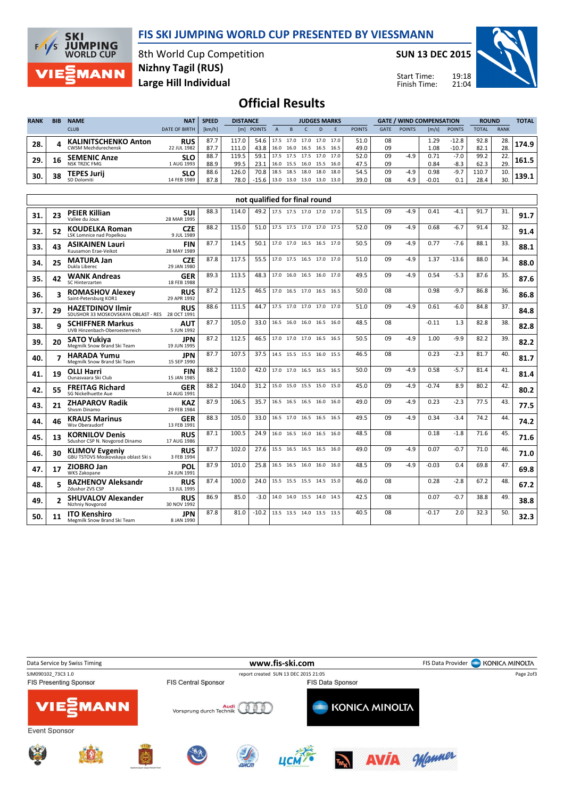## FIS SKI JUMPING WORLD CUP PRESENTED BY VIESSMANN



8th World Cup Competition Large Hill Individual Nizhny Tagil (RUS)

SUN 13 DEC 2015

Start Time: Finish Time:



## Official Results

| <b>RANK</b> | <b>BIB</b> | <b>NAME</b>                 | <b>NAT</b>           | <b>SPEED</b> | <b>DISTANCE</b> |               |      | <b>JUDGES MARKS</b> |           |       |      |               | <b>GATE / WIND COMPENSATION</b> |               |         |               | <b>ROUND</b> |             | <b>TOTAL</b> |
|-------------|------------|-----------------------------|----------------------|--------------|-----------------|---------------|------|---------------------|-----------|-------|------|---------------|---------------------------------|---------------|---------|---------------|--------------|-------------|--------------|
|             |            | <b>CLUB</b>                 | <b>DATE OF BIRTH</b> | [km/h]       | [ml]            | <b>POINTS</b> |      |                     |           | D     |      | <b>POINTS</b> | <b>GATE</b>                     | <b>POINTS</b> | [m/s]   | <b>POINTS</b> | <b>TOTAL</b> | <b>RANK</b> |              |
| 28.         |            | <b>KALINITSCHENKO Anton</b> | <b>RUS</b>           | 87.7         |                 | 54.6 l        | 17.5 | 17.0                | 17.0      | 17.0  | 17.0 | 51.0          | 08                              |               | 1.29    | $-12.8$       | 92.8         | 28.         | 174.9        |
|             |            | CWSM Mezhdurechensk         | 22 JUL 1982          | 87.7         | 111.0           | 43.8          | 16.0 | 16.0                | 16.5      | 16.5  | 16.5 | 49.0          | 09                              |               | 1.08    | $-10.7$       | 82.1         | 28.         |              |
| 29.         | 16         | <b>SEMENIC Anze</b>         | <b>SLO</b>           | 88.7         | 119.5           | 59.1          | 17.5 | 17.5 17.5           |           | .17.0 | 17.0 | 52.0          | 09                              | $-4.9$        | 0.71    | $-7.0$        | 99.2         | 22.         | 161.5        |
|             |            | <b>NSK TRZIC FMG</b>        | 1 AUG 1993           | 88.9         | 99.5            | 23.1          | 16.0 | 15.5                | 16.0 15.5 |       | 16.0 | 47.5          | 09                              |               | 0.84    | $-8.3$        | 62.3         | 29.         |              |
| 30.         | 38         | TEPES Jurii                 | <b>SLO</b>           | 88.6         | 126.0           | 70.8          | 18.5 | 18.5                | 18.0      | 18.0  | 18.0 | 54.5          | 09                              | $-4.9$        | 0.98    | $-9.7$        | 110.7        | 10.         | 139.1        |
|             |            | SD Dolomiti                 | 14 FEB 1989          | 87.8         | 78.0            | $-15.6$       | 13.0 | 13.0                | 13.0      | 13.0  | 13.0 | 39.0          | 08                              | 4.9           | $-0.01$ | 0.1           | 28.4         | 30.         |              |

|     |    |                                                                            |                           |      |       | not qualified for final round |                          |  |      |      |    |        |         |         |      |     |      |
|-----|----|----------------------------------------------------------------------------|---------------------------|------|-------|-------------------------------|--------------------------|--|------|------|----|--------|---------|---------|------|-----|------|
| 31. | 23 | <b>PEIER Killian</b><br>Vallee du Joux                                     | <b>SUI</b><br>28 MAR 1995 | 88.3 | 114.0 | 49.2                          | 17.5 17.5 17.0 17.0 17.0 |  |      | 51.5 | 09 | $-4.9$ | 0.41    | $-4.1$  | 91.7 | 31. | 91.7 |
| 32. | 52 | <b>KOUDELKA Roman</b><br>LSK Lomnice nad Popelkou                          | <b>CZE</b><br>9 JUL 1989  | 88.2 | 115.0 | 51.0                          | 17.5 17.5 17.0 17.0 17.5 |  |      | 52.0 | 09 | $-4.9$ | 0.68    | $-6.7$  | 91.4 | 32. | 91.4 |
| 33. | 43 | <b>ASIKAINEN Lauri</b><br>Kuusamon Erae-Veikot                             | <b>FIN</b><br>28 MAY 1989 | 87.7 | 114.5 | 50.1                          | 17.0 17.0 16.5 16.5      |  | 17.0 | 50.5 | 09 | $-4.9$ | 0.77    | $-7.6$  | 88.1 | 33. | 88.1 |
| 34. | 25 | <b>MATURA Jan</b><br>Dukla Liberec                                         | <b>CZE</b><br>29 JAN 1980 | 87.8 | 117.5 | 55.5                          | 17.0 17.5 16.5 17.0 17.0 |  |      | 51.0 | 09 | $-4.9$ | 1.37    | $-13.6$ | 88.0 | 34. | 88.0 |
| 35. | 42 | <b>WANK Andreas</b><br>SC Hinterzarten                                     | <b>GER</b><br>18 FEB 1988 | 89.3 | 113.5 | 48.3                          | 17.0 16.0 16.5 16.0 17.0 |  |      | 49.5 | 09 | $-4.9$ | 0.54    | $-5.3$  | 87.6 | 35. | 87.6 |
| 36. |    | <b>ROMASHOV Alexev</b><br>Saint-Petersburg KOR1                            | <b>RUS</b><br>29 APR 1992 | 87.2 | 112.5 | 46.5                          | 17.0 16.5 17.0 16.5 16.5 |  |      | 50.0 | 08 |        | 0.98    | $-9.7$  | 86.8 | 36. | 86.8 |
| 37. | 29 | <b>HAZETDINOV Ilmir</b><br>SDUSHOR 33 MOSKOVSKAYA OBLAST - RES 28 OCT 1991 | <b>RUS</b>                | 88.6 | 111.5 | 44.7                          | 17.5 17.0 17.0 17.0 17.0 |  |      | 51.0 | 09 | $-4.9$ | 0.61    | $-6.0$  | 84.8 | 37. | 84.8 |
| 38. | q  | <b>SCHIFFNER Markus</b><br>UVB Hinzenbach-Oberoesterreich                  | <b>AUT</b><br>5 JUN 1992  | 87.7 | 105.0 | 33.0                          | 16.5 16.0 16.0 16.5 16.0 |  |      | 48.5 | 08 |        | $-0.11$ | 1.3     | 82.8 | 38. | 82.8 |
| 39. | 20 | <b>SATO Yukiva</b><br>Megmilk Snow Brand Ski Team                          | <b>JPN</b><br>19 JUN 1995 | 87.2 | 112.5 | 46.5                          | 17.0 17.0 17.0 16.5 16.5 |  |      | 50.5 | 09 | $-4.9$ | 1.00    | -9.9    | 82.2 | 39. | 82.2 |
| 40. |    | <b>HARADA Yumu</b><br>Megmilk Snow Brand Ski Team                          | <b>JPN</b><br>15 SEP 1990 | 87.7 | 107.5 | 37.5                          | 14.5 15.5 15.5 16.0 15.5 |  |      | 46.5 | 08 |        | 0.23    | $-2.3$  | 81.7 | 40. | 81.7 |
| 41. | 19 | <b>OLLI Harri</b><br>Ounasyaara Ski Club                                   | <b>FIN</b><br>15 JAN 1985 | 88.2 | 110.0 | 42.0                          | 17.0 17.0 16.5 16.5 16.5 |  |      | 50.0 | 09 | $-4.9$ | 0.58    | $-5.7$  | 81.4 | 41. | 81.4 |
| 42. | 55 | <b>FREITAG Richard</b><br>SG Nickelhuette Aue                              | <b>GER</b><br>14 AUG 1991 | 88.2 | 104.0 | 31.2                          | 15.0 15.0 15.5 15.0 15.0 |  |      | 45.0 | 09 | $-4.9$ | $-0.74$ | 8.9     | 80.2 | 42. | 80.2 |
| 43. | 21 | <b>ZHAPAROV Radik</b><br>Shysm Dinamo                                      | <b>KAZ</b><br>29 FEB 1984 | 87.9 | 106.5 | 35.7                          | 16.5 16.5 16.5 16.0 16.0 |  |      | 49.0 | 09 | $-4.9$ | 0.23    | $-2.3$  | 77.5 | 43. | 77.5 |
| 44. | 46 | <b>KRAUS Marinus</b><br>Wsv Oberaudorf                                     | <b>GER</b><br>13 FEB 1991 | 88.3 | 105.0 | 33.0                          | 16.5 17.0 16.5 16.5 16.5 |  |      | 49.5 | 09 | $-4.9$ | 0.34    | $-3.4$  | 74.2 | 44. | 74.2 |
| 45. | 13 | <b>KORNILOV Denis</b><br>Sdushor CSP N. Novgorod Dinamo                    | <b>RUS</b><br>17 AUG 1986 | 87.1 | 100.5 | 24.9                          | 16.0 16.5 16.0 16.5      |  | 16.0 | 48.5 | 08 |        | 0.18    | $-1.8$  | 71.6 | 45. | 71.6 |
| 46. | 30 | <b>KLIMOV Evgeniy</b><br>GBU TSTOVS Moskovskava oblast Ski s               | <b>RUS</b><br>3 FEB 1994  | 87.7 | 102.0 | 27.6                          | 15.5 16.5 16.5 16.5 16.0 |  |      | 49.0 | 09 | $-4.9$ | 0.07    | $-0.7$  | 71.0 | 46. | 71.0 |
| 47. | 17 | ZIOBRO Jan<br><b>WKS Zakopane</b>                                          | POL<br>24 JUN 1991        | 87.9 | 101.0 | 25.8                          | 16.5 16.5 16.0 16.0      |  | 16.0 | 48.5 | 09 | $-4.9$ | $-0.03$ | 0.4     | 69.8 | 47. | 69.8 |
| 48. |    | <b>BAZHENOV Aleksandr</b><br>Zdushor ZVS CSP                               | <b>RUS</b><br>13 JUL 1995 | 87.4 | 100.0 | 24.0                          | 15.5 15.5 15.5 14.5 15.0 |  |      | 46.0 | 08 |        | 0.28    | $-2.8$  | 67.2 | 48. | 67.2 |
| 49. |    | <b>SHUVALOV Alexander</b><br>Nizhniy Novgorod                              | <b>RUS</b><br>30 NOV 1992 | 86.9 | 85.0  | $-3.0$                        | 14.0 14.0 15.5 14.0 14.5 |  |      | 42.5 | 08 |        | 0.07    | $-0.7$  | 38.8 | 49. | 38.8 |
| 50. | 11 | <b>ITO Kenshiro</b><br>Megmilk Snow Brand Ski Team                         | <b>JPN</b><br>8 JAN 1990  | 87.8 | 81.0  | $-10.2$                       | 13.5 13.5 14.0 13.5 13.5 |  |      | 40.5 | 08 |        | $-0.17$ | 2.0     | 32.3 | 50. | 32.3 |